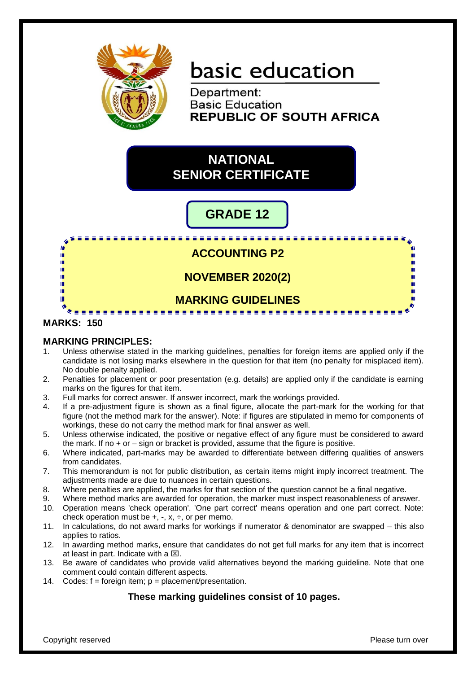

# basic education

Department: **Basic Education REPUBLIC OF SOUTH AFRICA** 

## **NATIONAL SENIOR CERTIFICATE**

## **GRADE 12**

. . . . . . . . . . . . . . . . . . .  $\mathbf{r}$ **ACCOUNTING P2** I. m ú. ш **NOVEMBER 2020(2)** ú ú. m **MARKING GUIDELINES** т **MARKS: 150**

#### **MARKING PRINCIPLES:**

- 1. Unless otherwise stated in the marking guidelines, penalties for foreign items are applied only if the candidate is not losing marks elsewhere in the question for that item (no penalty for misplaced item). No double penalty applied.
- 2. Penalties for placement or poor presentation (e.g. details) are applied only if the candidate is earning marks on the figures for that item.
- 3. Full marks for correct answer. If answer incorrect, mark the workings provided.
- 4. If a pre-adjustment figure is shown as a final figure, allocate the part-mark for the working for that figure (not the method mark for the answer). Note: if figures are stipulated in memo for components of workings, these do not carry the method mark for final answer as well.
- 5. Unless otherwise indicated, the positive or negative effect of any figure must be considered to award the mark. If no + or – sign or bracket is provided, assume that the figure is positive.
- 6. Where indicated, part-marks may be awarded to differentiate between differing qualities of answers from candidates.
- 7. This memorandum is not for public distribution, as certain items might imply incorrect treatment. The adjustments made are due to nuances in certain questions.
- 8. Where penalties are applied, the marks for that section of the question cannot be a final negative.
- 9. Where method marks are awarded for operation, the marker must inspect reasonableness of answer.
- 10. Operation means 'check operation'. 'One part correct' means operation and one part correct. Note: check operation must be  $+$ ,  $-$ ,  $x$ ,  $\div$ , or per memo.
- 11. In calculations, do not award marks for workings if numerator & denominator are swapped this also applies to ratios.
- 12. In awarding method marks, ensure that candidates do not get full marks for any item that is incorrect at least in part. Indicate with a  $\boxtimes$ .
- 13. Be aware of candidates who provide valid alternatives beyond the marking guideline. Note that one comment could contain different aspects.
- 14. Codes:  $f =$  foreign item;  $p =$  placement/presentation.

### **These marking guidelines consist of 10 pages.**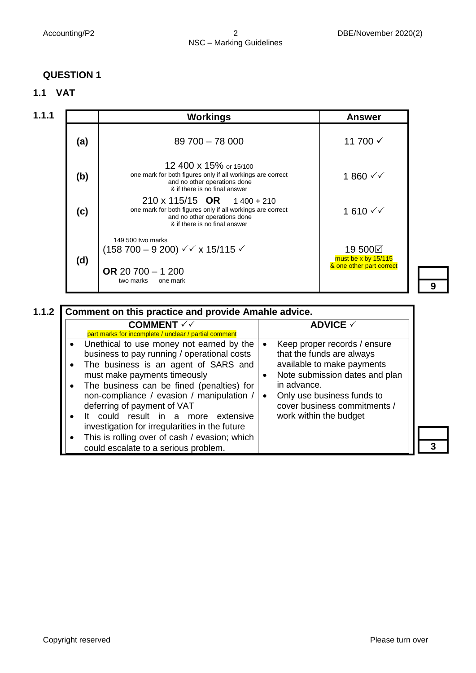### **QUESTION 1**



| 1.1.1 |     | <b>Workings</b>                                                                                                                                                    | <b>Answer</b>                                              |
|-------|-----|--------------------------------------------------------------------------------------------------------------------------------------------------------------------|------------------------------------------------------------|
|       | (a) | 89 700 - 78 000                                                                                                                                                    | 11 700 √                                                   |
|       | (b) | 12 400 x 15% or 15/100<br>one mark for both figures only if all workings are correct<br>and no other operations done<br>& if there is no final answer              | $1860$ ✓ ✓                                                 |
|       | (c) | $210 \times 115/15$ OR $1400 + 210$<br>one mark for both figures only if all workings are correct<br>and no other operations done<br>& if there is no final answer | 1610 $\checkmark$                                          |
|       | (d) | 149 500 two marks<br>$(158\,700 - 9\,200) \sqrt{x}$ x 15/115 $\sqrt{x}$<br>OR 20 700 $-$ 1 200<br>two marks<br>one mark                                            | 19 500⊠<br>must be x by 15/115<br>& one other part correct |

**9**

**3**

| <b>COMMENT</b> $\checkmark$<br>part marks for incomplete / unclear / partial comment                                                                                                                                                                                                                                                                                                                                                                                           | <b>ADVICE √</b>                                                                                                                                                                                                                                            |
|--------------------------------------------------------------------------------------------------------------------------------------------------------------------------------------------------------------------------------------------------------------------------------------------------------------------------------------------------------------------------------------------------------------------------------------------------------------------------------|------------------------------------------------------------------------------------------------------------------------------------------------------------------------------------------------------------------------------------------------------------|
| Unethical to use money not earned by the<br>business to pay running / operational costs<br>The business is an agent of SARS and<br>must make payments timeously<br>The business can be fined (penalties) for<br>non-compliance / evasion / manipulation /<br>deferring of payment of VAT<br>could result in a more extensive<br>lt.<br>investigation for irregularities in the future<br>This is rolling over of cash / evasion; which<br>could escalate to a serious problem. | Keep proper records / ensure<br>$\bullet$<br>that the funds are always<br>available to make payments<br>Note submission dates and plan<br>in advance.<br>Only use business funds to<br>$\bullet$<br>cover business commitments /<br>work within the budget |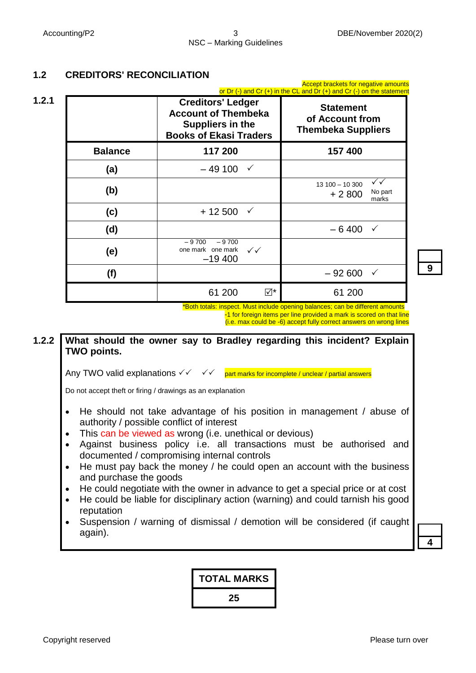nt brackets for negative am

### **1.2 CREDITORS' RECONCILIATION**

|                | <b>Creditors' Ledger</b><br><b>Account of Thembeka</b><br>Suppliers in the<br><b>Books of Ekasi Traders</b> | or Dr $(-)$ and Cr $(+)$ in the CL and Dr $(+)$ and Cr $(-)$ on the statement<br><b>Statement</b><br>of Account from<br><b>Thembeka Suppliers</b> |
|----------------|-------------------------------------------------------------------------------------------------------------|---------------------------------------------------------------------------------------------------------------------------------------------------|
| <b>Balance</b> | 117 200                                                                                                     | 157 400                                                                                                                                           |
| (a)            | – 49 100<br>$\checkmark$                                                                                    |                                                                                                                                                   |
| (b)            |                                                                                                             | $\checkmark$<br>$13100 - 10300$<br>No part<br>$+2800$<br>marks                                                                                    |
| (c)            | $+12500$<br>$\checkmark$                                                                                    |                                                                                                                                                   |
| (d)            |                                                                                                             | $-6400$<br>$\checkmark$                                                                                                                           |
| (e)            | $-9700$<br>$-9700$<br>one mark one mark<br>$\checkmark\checkmark$<br>$-19,400$                              |                                                                                                                                                   |
| (f)            |                                                                                                             | $-92600$<br>$\checkmark$                                                                                                                          |
|                | 61 200                                                                                                      | ⊠*<br>61 200                                                                                                                                      |

**9**

 \*Both totals: inspect. Must include opening balances; can be different amounts -1 for foreign items per line provided a mark is scored on that line

(i.e. max could be -6) accept fully correct answers on wrong lines

#### **1.2.2 What should the owner say to Bradley regarding this incident? Explain TWO points.**

Any TWO valid explanations  $\checkmark$   $\checkmark$   $\checkmark$   $\checkmark$  part marks for incomplete / unclear / partial answers

Do not accept theft or firing / drawings as an explanation

- He should not take advantage of his position in management / abuse of authority / possible conflict of interest
- This can be viewed as wrong (i.e. unethical or devious)
- Against business policy i.e. all transactions must be authorised and documented / compromising internal controls
- He must pay back the money / he could open an account with the business and purchase the goods
- He could negotiate with the owner in advance to get a special price or at cost
- He could be liable for disciplinary action (warning) and could tarnish his good reputation
- Suspension / warning of dismissal / demotion will be considered (if caught again).

**4**

## **TOTAL MARKS 25**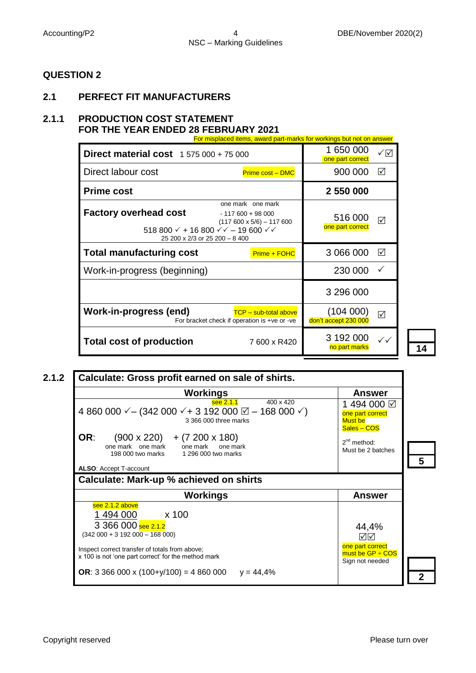#### **QUESTION 2**

#### **2.1 PERFECT FIT MANUFACTURERS**

#### **2.1.1 PRODUCTION COST STATEMENT FOR THE YEAR ENDED 28 FEBRUARY 2021**

| For misplaced items, award part-marks for workings but not on answer                                                                                                                                   |                                |                                   |                 |  |  |
|--------------------------------------------------------------------------------------------------------------------------------------------------------------------------------------------------------|--------------------------------|-----------------------------------|-----------------|--|--|
| <b>Direct material cost</b> 1 575 000 + 75 000                                                                                                                                                         | 1 650 000<br>one part correct  | ✓☑                                |                 |  |  |
| Direct labour cost                                                                                                                                                                                     | <b>Prime cost - DMC</b>        | 900 000                           | ☑               |  |  |
| <b>Prime cost</b>                                                                                                                                                                                      |                                | 2 550 000                         |                 |  |  |
| one mark one mark<br><b>Factory overhead cost</b><br>$-117600 + 98000$<br>518 800 $\checkmark$ + 16 800 $\checkmark$ $\checkmark$ – 19 600 $\checkmark$ $\checkmark$<br>25 200 x 2/3 or 25 200 - 8 400 | $(117600 \times 5/6) - 117600$ | 516 000<br>one part correct       | $\triangledown$ |  |  |
| <b>Total manufacturing cost</b>                                                                                                                                                                        | Prime + FOHC                   | 3 066 000                         | ☑               |  |  |
| Work-in-progress (beginning)                                                                                                                                                                           |                                | 230 000                           | $\checkmark$    |  |  |
|                                                                                                                                                                                                        |                                | 3 296 000                         |                 |  |  |
| <b>Work-in-progress (end)</b><br>For bracket check if operation is +ve or -ve                                                                                                                          | <b>TCP - sub-total above</b>   | (104 000)<br>don't accept 230 000 | ☑               |  |  |
| <b>Total cost of production</b>                                                                                                                                                                        | 7600 x R420                    | 3 192 000<br>no part marks        | $\checkmark$    |  |  |

**2.1.2 Calculate: Gross profit earned on sale of shirts. Workings Answer 5** see 2.1.1 400 x 420 4 860 000  $\checkmark$  – (342 000  $\checkmark$  + 3 192 000  $\textcircled{1}$  – 168 000  $\checkmark$ ) 3 366 000 three marks **OR:**  $(900 \times 220) + (7200 \times 180)$ <br>one mark one mark one mark one mark ne mark one mark one mark one mark<br>198 000 two marks 1 296 000 two marks 198 000 two marks 1 296 000 two marks **ALSO**: Accept T-account 1 494 000 one part correct Must be Sales – COS 2<sup>nd</sup> method: Must be 2 batches **Calculate: Mark-up % achieved on shirts Workings Answer 2** see 2.1.2 above 1 494 000 x 100 3 366 000 see 2.1.2 (342 000 + 3 192 000 – 168 000) Inspect correct transfer of totals from above; x 100 is not 'one part correct' for the method mark **OR**: 3 366 000 x (100+y/100) = 4 860 000 y = 44,4% I 44,4% ☑⊡ one part correct  $m$ ust be GP  $\div$  COS Sign not needed

**14**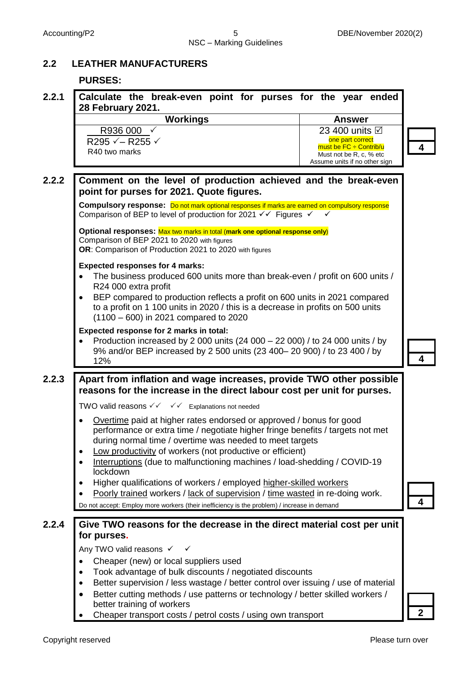#### **2.2 LEATHER MANUFACTURERS**

#### **PURSES:**

| 2.2.1 | Calculate the break-even point for purses for the year ended<br>28 February 2021.                                                                                                                                                                                                                                                                                                   |                                                                                                     |
|-------|-------------------------------------------------------------------------------------------------------------------------------------------------------------------------------------------------------------------------------------------------------------------------------------------------------------------------------------------------------------------------------------|-----------------------------------------------------------------------------------------------------|
|       | <b>Workings</b>                                                                                                                                                                                                                                                                                                                                                                     | <b>Answer</b>                                                                                       |
|       | R936 000<br>R295 $\checkmark$ – R255 $\checkmark$<br>R40 two marks                                                                                                                                                                                                                                                                                                                  | 23 400 units <b>⊠</b><br>one part correct<br>must be $FC \div$ Contrib/u<br>Must not be R, c, % etc |
|       |                                                                                                                                                                                                                                                                                                                                                                                     | Assume units if no other sign                                                                       |
| 2.2.2 | Comment on the level of production achieved and the break-even<br>point for purses for 2021. Quote figures.                                                                                                                                                                                                                                                                         |                                                                                                     |
|       | Compulsory response: Do not mark optional responses if marks are earned on compulsory response<br>Comparison of BEP to level of production for 2021 $\checkmark\checkmark$ Figures $\checkmark$                                                                                                                                                                                     |                                                                                                     |
|       | Optional responses: Max two marks in total (mark one optional response only)<br>Comparison of BEP 2021 to 2020 with figures<br>OR: Comparison of Production 2021 to 2020 with figures                                                                                                                                                                                               |                                                                                                     |
|       | <b>Expected responses for 4 marks:</b><br>The business produced 600 units more than break-even / profit on 600 units /<br>$\bullet$<br>R24 000 extra profit<br>BEP compared to production reflects a profit on 600 units in 2021 compared<br>٠<br>to a profit on 1 100 units in 2020 / this is a decrease in profits on 500 units<br>$(1100 - 600)$ in 2021 compared to 2020        |                                                                                                     |
|       | Expected response for 2 marks in total:<br>Production increased by 2 000 units (24 000 - 22 000) / to 24 000 units / by<br>9% and/or BEP increased by 2 500 units (23 400-20 900) / to 23 400 / by<br>12%                                                                                                                                                                           |                                                                                                     |
| 2.2.3 | Apart from inflation and wage increases, provide TWO other possible<br>reasons for the increase in the direct labour cost per unit for purses.                                                                                                                                                                                                                                      |                                                                                                     |
|       | TWO valid reasons $\checkmark \checkmark \checkmark$ Explanations not needed                                                                                                                                                                                                                                                                                                        |                                                                                                     |
|       | Overtime paid at higher rates endorsed or approved / bonus for good<br>$\bullet$<br>performance or extra time / negotiate higher fringe benefits / targets not met<br>during normal time / overtime was needed to meet targets<br>Low productivity of workers (not productive or efficient)<br>Interruptions (due to malfunctioning machines / load-shedding / COVID-19<br>lockdown |                                                                                                     |
|       | Higher qualifications of workers / employed higher-skilled workers<br>Poorly trained workers / lack of supervision / time wasted in re-doing work.                                                                                                                                                                                                                                  |                                                                                                     |
|       | Do not accept: Employ more workers (their inefficiency is the problem) / increase in demand                                                                                                                                                                                                                                                                                         |                                                                                                     |
| 2.2.4 | Give TWO reasons for the decrease in the direct material cost per unit<br>for purses.                                                                                                                                                                                                                                                                                               |                                                                                                     |
|       | Any TWO valid reasons √                                                                                                                                                                                                                                                                                                                                                             |                                                                                                     |
|       | Cheaper (new) or local suppliers used<br>$\bullet$                                                                                                                                                                                                                                                                                                                                  |                                                                                                     |
|       | Took advantage of bulk discounts / negotiated discounts<br>٠<br>Better supervision / less wastage / better control over issuing / use of material<br>$\bullet$                                                                                                                                                                                                                      |                                                                                                     |
|       | Better cutting methods / use patterns or technology / better skilled workers /<br>better training of workers                                                                                                                                                                                                                                                                        |                                                                                                     |
|       | Cheaper transport costs / petrol costs / using own transport                                                                                                                                                                                                                                                                                                                        |                                                                                                     |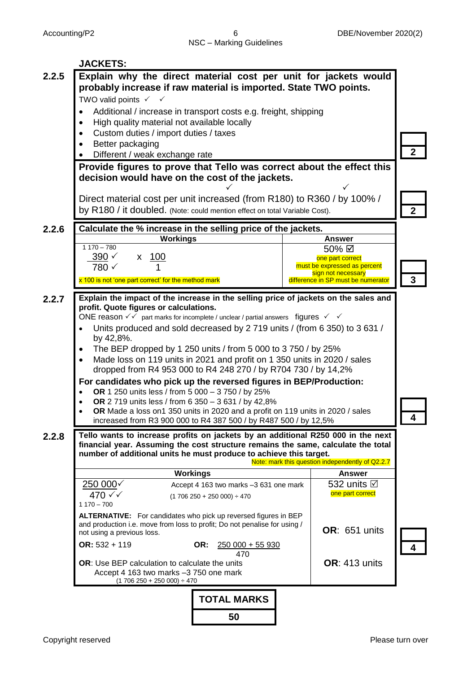|       | <b>JACKETS:</b>                                                                                                                                                       |                                        |                                                          |             |  |  |
|-------|-----------------------------------------------------------------------------------------------------------------------------------------------------------------------|----------------------------------------|----------------------------------------------------------|-------------|--|--|
| 2.2.5 | Explain why the direct material cost per unit for jackets would                                                                                                       |                                        |                                                          |             |  |  |
|       | probably increase if raw material is imported. State TWO points.                                                                                                      |                                        |                                                          |             |  |  |
|       | TWO valid points $\checkmark$ $\checkmark$                                                                                                                            |                                        |                                                          |             |  |  |
|       | Additional / increase in transport costs e.g. freight, shipping<br>$\bullet$<br>High quality material not available locally<br>$\bullet$                              |                                        |                                                          |             |  |  |
|       | Custom duties / import duties / taxes                                                                                                                                 |                                        |                                                          |             |  |  |
|       | Better packaging                                                                                                                                                      |                                        |                                                          |             |  |  |
|       | Different / weak exchange rate                                                                                                                                        |                                        |                                                          |             |  |  |
|       | Provide figures to prove that Tello was correct about the effect this                                                                                                 |                                        |                                                          |             |  |  |
|       | decision would have on the cost of the jackets.                                                                                                                       |                                        |                                                          |             |  |  |
|       |                                                                                                                                                                       |                                        |                                                          |             |  |  |
|       | Direct material cost per unit increased (from R180) to R360 / by 100% /                                                                                               |                                        |                                                          |             |  |  |
|       | by R180 / it doubled. (Note: could mention effect on total Variable Cost).                                                                                            |                                        |                                                          | $\mathbf 2$ |  |  |
| 2.2.6 | Calculate the % increase in the selling price of the jackets.                                                                                                         |                                        |                                                          |             |  |  |
|       | <b>Workings</b><br>$1170 - 780$                                                                                                                                       |                                        | <b>Answer</b>                                            |             |  |  |
|       | $390 \checkmark$<br>x 100                                                                                                                                             |                                        | 50% ⊠<br>one part correct                                |             |  |  |
|       | 780 √                                                                                                                                                                 |                                        | must be expressed as percent                             |             |  |  |
|       | x 100 is not 'one part correct' for the method mark                                                                                                                   |                                        | sign not necessary<br>difference in SP must be numerator |             |  |  |
|       |                                                                                                                                                                       |                                        |                                                          |             |  |  |
| 2.2.7 | Explain the impact of the increase in the selling price of jackets on the sales and<br>profit. Quote figures or calculations.                                         |                                        |                                                          |             |  |  |
|       | ONE reason $\sqrt{\checkmark}$ part marks for incomplete / unclear / partial answers figures $\checkmark \checkmark$                                                  |                                        |                                                          |             |  |  |
|       | Units produced and sold decreased by 2 719 units / (from 6 350) to 3 631 /                                                                                            |                                        |                                                          |             |  |  |
|       | by 42,8%.                                                                                                                                                             |                                        |                                                          |             |  |  |
|       | The BEP dropped by 1 250 units / from 5 000 to 3 750 / by 25%<br>$\bullet$                                                                                            |                                        |                                                          |             |  |  |
|       | Made loss on 119 units in 2021 and profit on 1 350 units in 2020 / sales<br>dropped from R4 953 000 to R4 248 270 / by R704 730 / by 14,2%                            |                                        |                                                          |             |  |  |
|       | For candidates who pick up the reversed figures in BEP/Production:                                                                                                    |                                        |                                                          |             |  |  |
|       | OR 1 250 units less / from 5 000 - 3 750 / by 25%                                                                                                                     |                                        |                                                          |             |  |  |
|       | OR 2 719 units less / from 6 350 - 3 631 / by 42,8%                                                                                                                   |                                        |                                                          |             |  |  |
|       | OR Made a loss on1 350 units in 2020 and a profit on 119 units in 2020 / sales<br>increased from R3 900 000 to R4 387 500 / by R487 500 / by 12,5%                    |                                        |                                                          |             |  |  |
|       |                                                                                                                                                                       |                                        |                                                          |             |  |  |
| 2.2.8 | Tello wants to increase profits on jackets by an additional R250 000 in the next<br>financial year. Assuming the cost structure remains the same, calculate the total |                                        |                                                          |             |  |  |
|       | number of additional units he must produce to achieve this target.                                                                                                    |                                        |                                                          |             |  |  |
|       | <b>Workings</b>                                                                                                                                                       |                                        | Note: mark this question independently of Q2.2.7         |             |  |  |
|       | 250000                                                                                                                                                                | Accept 4 163 two marks -3 631 one mark | <b>Answer</b><br>532 units $\boxtimes$                   |             |  |  |
|       | 470 √√                                                                                                                                                                | $(1706250 + 250000) \div 470$          | one part correct                                         |             |  |  |
|       | $1170 - 700$                                                                                                                                                          |                                        |                                                          |             |  |  |
|       | ALTERNATIVE: For candidates who pick up reversed figures in BEP                                                                                                       |                                        |                                                          |             |  |  |
|       | and production i.e. move from loss to profit; Do not penalise for using /<br>not using a previous loss.                                                               |                                        | OR: 651 units                                            |             |  |  |
|       | $OR: 532 + 119$                                                                                                                                                       | OR:<br>$250000 + 55930$                |                                                          |             |  |  |
|       |                                                                                                                                                                       | 470                                    |                                                          |             |  |  |
|       | OR: Use BEP calculation to calculate the units                                                                                                                        |                                        | <b>OR: 413 units</b>                                     |             |  |  |
|       | Accept 4 163 two marks -3 750 one mark<br>$(1706250 + 250000) \div 470$                                                                                               |                                        |                                                          |             |  |  |
|       |                                                                                                                                                                       | <b>TOTAL MARKS</b>                     |                                                          |             |  |  |
|       |                                                                                                                                                                       |                                        |                                                          |             |  |  |
|       |                                                                                                                                                                       | 50                                     |                                                          |             |  |  |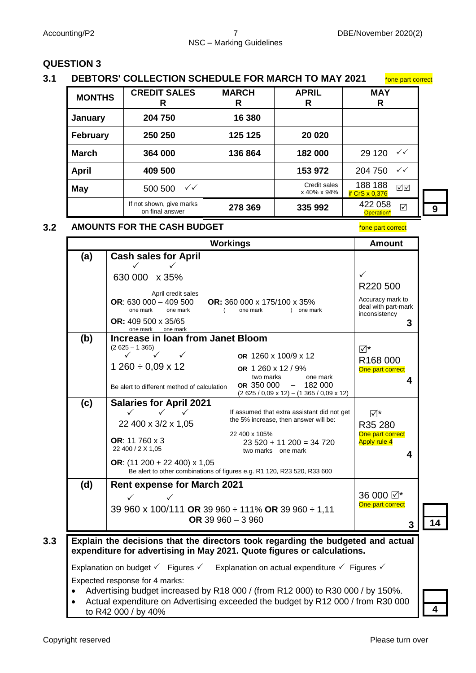#### Accounting/P2 **7** DBE/November 2020(2) NSC – Marking Guidelines

#### **QUESTION 3**

| 3.1 DEBTORS' COLLECTION SCHEDULE FOR MARCH TO MAY 2021 | *one part correct |
|--------------------------------------------------------|-------------------|
|--------------------------------------------------------|-------------------|

| <b>MONTHS</b> | <b>CREDIT SALES</b><br>R                    | <b>MARCH</b><br>R | <b>APRIL</b><br>R           | <b>MAY</b><br>R                          |  |
|---------------|---------------------------------------------|-------------------|-----------------------------|------------------------------------------|--|
| January       | 204 750                                     | 16 380            |                             |                                          |  |
| February      | 250 250                                     | 125 125           | 20 020                      |                                          |  |
| <b>March</b>  | 364 000                                     | 136 864           | 182 000                     | $\checkmark$<br>29 1 20                  |  |
| <b>April</b>  | 409 500                                     |                   | 153 972                     | $\checkmark$<br>204 750                  |  |
| <b>May</b>    | $\checkmark\checkmark$<br>500 500           |                   | Credit sales<br>x 40% x 94% | 188 188<br>☑⊠<br>if CrS $\times$ 0,376   |  |
|               | If not shown, give marks<br>on final answer | 278 369           | 335 992                     | 422 058<br>$\triangledown$<br>Operation* |  |

#### **3.2 AMOUNTS FOR THE CASH BUDGET** \*one part correct

**Workings Amount (a) Cash sales for April**  $\checkmark$   $\checkmark$ 630 000 x 35% April credit sales **OR**: 630 000 – 409 500 **OR:** 360 000 x 175/100 x 35% one mark one mark (and provide mark ) one main ) one mark **OR:** 409 500 x 35/65 one mark one mark  $\checkmark$ R220 500 Accuracy mark to deal with part-mark inconsistency **3 14 (b) Increase in loan from Janet Bloom**  $\overline{\mathsf{M}}^*$ R168 000 One part correct  **4**  $(2 625 - 1 365)$  $\checkmark$   $\checkmark$   $\checkmark$  $1260 \div 0.09 \times 12$ Be alert to different method of calculation **OR** 1260 x 100/9 x 12 **OR** 1 260 x 12 / 9% two marks one mark **OR** 350 000 – 182 000 (2 625 / 0,09 x 12) – (1 365 / 0,09 x 12) **(c) Salaries for April 2021**  ⊠\* R35 280 **One part correct** Apply rule 4  **4**  $\checkmark\qquad\checkmark\qquad\checkmark$  22 400 x 3/2 x 1,05 **OR**: 11 760 x 3 22 400 / 2 X 1,05 **OR**: (11 200 + 22 400) x 1,05 If assumed that extra assistant did not get the 5% increase, then answer will be: 22 400 x 105%  $23,520 + 11,200 = 34,720$  two marks one mark Be alert to other combinations of figures e.g. R1 120, R23 520, R33 600 **(d) Rent expense for March 2021**  $\checkmark$   $\checkmark$ 39 960 x 100/111 **OR** 39 960 ÷ 111% **OR** 39 960 ÷ 1,11 **OR** 39 960 – 3 960 36 000  $\nabla^*$ **One part correct 3 3.3 Explain the decisions that the directors took regarding the budgeted and actual expenditure for advertising in May 2021. Quote figures or calculations.** Explanation on budget  $\checkmark$  Figures  $\checkmark$  Explanation on actual expenditure  $\checkmark$  Figures  $\checkmark$ Expected response for 4 marks: Advertising budget increased by R18 000 / (from R12 000) to R30 000 / by 150%. Actual expenditure on Advertising exceeded the budget by R12 000 / from R30 000

to R42 000 / by 40%  $\frac{3}{2}$  **4**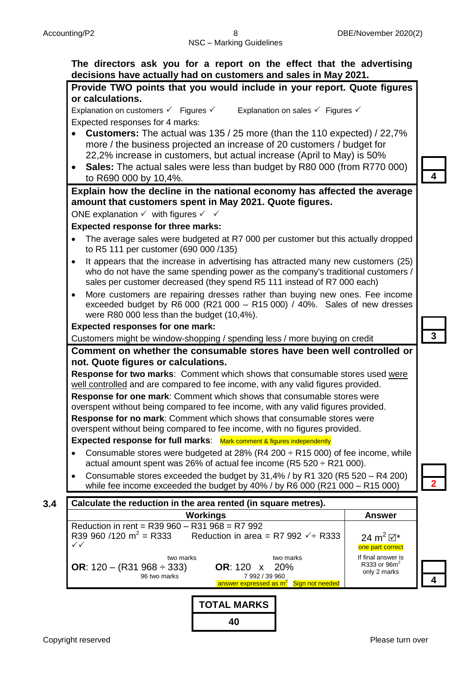#### **The directors ask you for a report on the effect that the advertising decisions have actually had on customers and sales in May 2021.**



**TOTAL MARKS 40**

answer expressed as m $^2$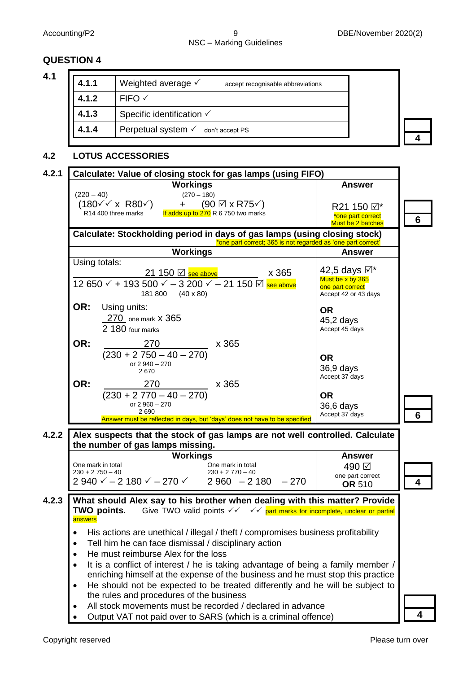## NSC – Marking Guidelines

#### **QUESTION 4**

| 4.1.1 | Weighted average $\checkmark$<br>accept recognisable abbreviations |  |
|-------|--------------------------------------------------------------------|--|
| 4.1.2 | $FIFO \checkmark$                                                  |  |
| 4.1.3 | Specific identification √                                          |  |
| 4.1.4 | Perpetual system $\checkmark$ don't accept PS                      |  |

#### **4.2 LOTUS ACCESSORIES**